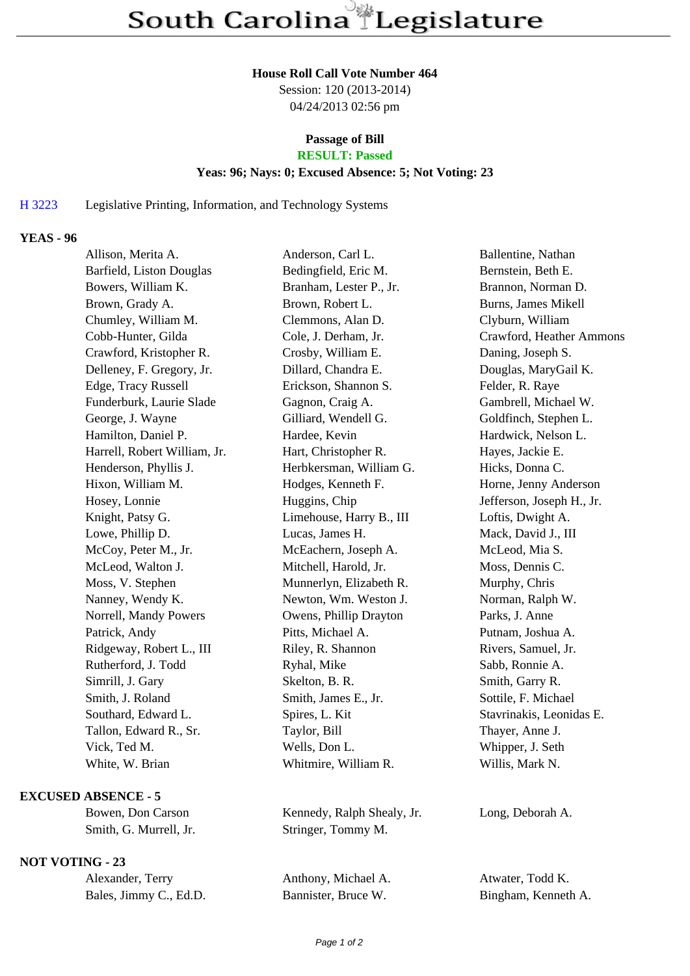#### **House Roll Call Vote Number 464**

Session: 120 (2013-2014) 04/24/2013 02:56 pm

# **Passage of Bill**

# **RESULT: Passed**

### **Yeas: 96; Nays: 0; Excused Absence: 5; Not Voting: 23**

#### H 3223 Legislative Printing, Information, and Technology Systems

## **YEAS - 96**

| Allison, Merita A.           | Anderson, Carl L.        | Ballentine, Nathan        |
|------------------------------|--------------------------|---------------------------|
| Barfield, Liston Douglas     | Bedingfield, Eric M.     | Bernstein, Beth E.        |
| Bowers, William K.           | Branham, Lester P., Jr.  | Brannon, Norman D.        |
| Brown, Grady A.              | Brown, Robert L.         | Burns, James Mikell       |
| Chumley, William M.          | Clemmons, Alan D.        | Clyburn, William          |
| Cobb-Hunter, Gilda           | Cole, J. Derham, Jr.     | Crawford, Heather Ammons  |
| Crawford, Kristopher R.      | Crosby, William E.       | Daning, Joseph S.         |
| Delleney, F. Gregory, Jr.    | Dillard, Chandra E.      | Douglas, MaryGail K.      |
| Edge, Tracy Russell          | Erickson, Shannon S.     | Felder, R. Raye           |
| Funderburk, Laurie Slade     | Gagnon, Craig A.         | Gambrell, Michael W.      |
| George, J. Wayne             | Gilliard, Wendell G.     | Goldfinch, Stephen L.     |
| Hamilton, Daniel P.          | Hardee, Kevin            | Hardwick, Nelson L.       |
| Harrell, Robert William, Jr. | Hart, Christopher R.     | Hayes, Jackie E.          |
| Henderson, Phyllis J.        | Herbkersman, William G.  | Hicks, Donna C.           |
| Hixon, William M.            | Hodges, Kenneth F.       | Horne, Jenny Anderson     |
| Hosey, Lonnie                | Huggins, Chip            | Jefferson, Joseph H., Jr. |
| Knight, Patsy G.             | Limehouse, Harry B., III | Loftis, Dwight A.         |
| Lowe, Phillip D.             | Lucas, James H.          | Mack, David J., III       |
| McCoy, Peter M., Jr.         | McEachern, Joseph A.     | McLeod, Mia S.            |
| McLeod, Walton J.            | Mitchell, Harold, Jr.    | Moss, Dennis C.           |
| Moss, V. Stephen             | Munnerlyn, Elizabeth R.  | Murphy, Chris             |
| Nanney, Wendy K.             | Newton, Wm. Weston J.    | Norman, Ralph W.          |
| Norrell, Mandy Powers        | Owens, Phillip Drayton   | Parks, J. Anne            |
| Patrick, Andy                | Pitts, Michael A.        | Putnam, Joshua A.         |
| Ridgeway, Robert L., III     | Riley, R. Shannon        | Rivers, Samuel, Jr.       |
| Rutherford, J. Todd          | Ryhal, Mike              | Sabb, Ronnie A.           |
| Simrill, J. Gary             | Skelton, B. R.           | Smith, Garry R.           |
| Smith, J. Roland             | Smith, James E., Jr.     | Sottile, F. Michael       |
| Southard, Edward L.          | Spires, L. Kit           | Stavrinakis, Leonidas E.  |
| Tallon, Edward R., Sr.       | Taylor, Bill             | Thayer, Anne J.           |
| Vick, Ted M.                 | Wells, Don L.            | Whipper, J. Seth          |
| White, W. Brian              | Whitmire, William R.     | Willis, Mark N.           |
|                              |                          |                           |

### **EXCUSED ABSENCE - 5**

## **NOT VOTING - 23**

| Alexander, Terry       |  |  |
|------------------------|--|--|
| Bales, Jimmy C., Ed.D. |  |  |

Bowen, Don Carson Kennedy, Ralph Shealy, Jr. Long, Deborah A. Smith, G. Murrell, Jr. Stringer, Tommy M.

Anthony, Michael A. Atwater, Todd K.

Bannister, Bruce W. Bingham, Kenneth A.